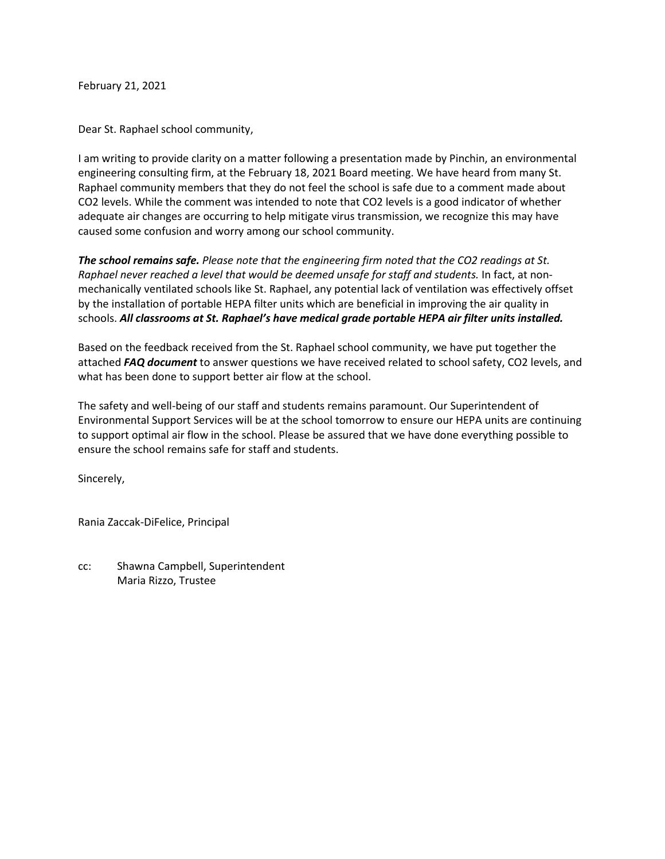February 21, 2021

Dear St. Raphael school community,

I am writing to provide clarity on a matter following a presentation made by Pinchin, an environmental engineering consulting firm, at the February 18, 2021 Board meeting. We have heard from many St. Raphael community members that they do not feel the school is safe due to a comment made about CO2 levels. While the comment was intended to note that CO2 levels is a good indicator of whether adequate air changes are occurring to help mitigate virus transmission, we recognize this may have caused some confusion and worry among our school community.

*The school remains safe. Please note that the engineering firm noted that the CO2 readings at St. Raphael never reached a level that would be deemed unsafe for staff and students.* In fact, at nonmechanically ventilated schools like St. Raphael, any potential lack of ventilation was effectively offset by the installation of portable HEPA filter units which are beneficial in improving the air quality in schools. *All classrooms at St. Raphael's have medical grade portable HEPA air filter units installed.*

Based on the feedback received from the St. Raphael school community, we have put together the attached *FAQ document* to answer questions we have received related to school safety, CO2 levels, and what has been done to support better air flow at the school.

The safety and well-being of our staff and students remains paramount. Our Superintendent of Environmental Support Services will be at the school tomorrow to ensure our HEPA units are continuing to support optimal air flow in the school. Please be assured that we have done everything possible to ensure the school remains safe for staff and students.

Sincerely,

Rania Zaccak-DiFelice, Principal

cc: Shawna Campbell, Superintendent Maria Rizzo, Trustee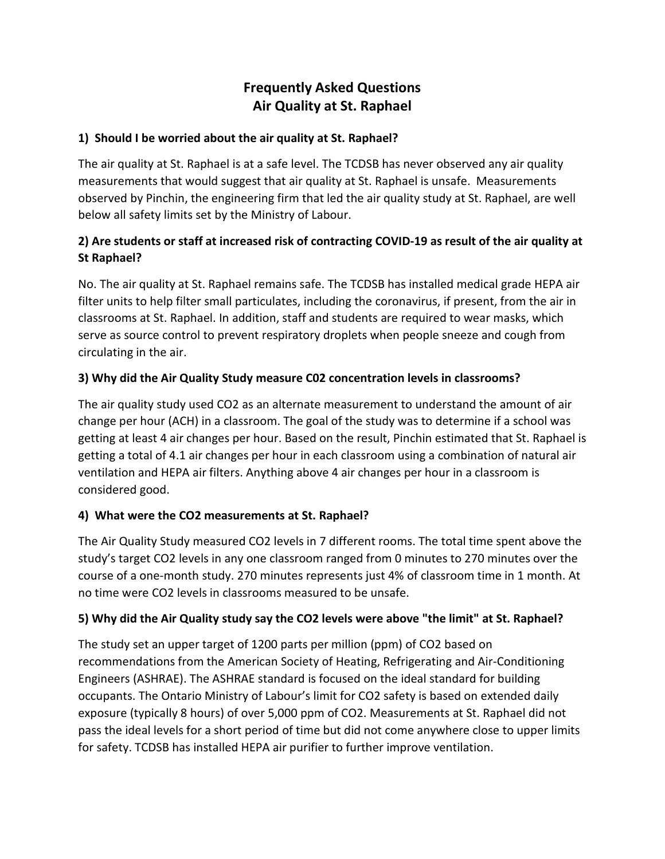# **Frequently Asked Questions Air Quality at St. Raphael**

#### **1) Should I be worried about the air quality at St. Raphael?**

The air quality at St. Raphael is at a safe level. The TCDSB has never observed any air quality measurements that would suggest that air quality at St. Raphael is unsafe. Measurements observed by Pinchin, the engineering firm that led the air quality study at St. Raphael, are well below all safety limits set by the Ministry of Labour.

### **2) Are students or staff at increased risk of contracting COVID-19 as result of the air quality at St Raphael?**

No. The air quality at St. Raphael remains safe. The TCDSB has installed medical grade HEPA air filter units to help filter small particulates, including the coronavirus, if present, from the air in classrooms at St. Raphael. In addition, staff and students are required to wear masks, which serve as source control to prevent respiratory droplets when people sneeze and cough from circulating in the air.

#### **3) Why did the Air Quality Study measure C02 concentration levels in classrooms?**

The air quality study used CO2 as an alternate measurement to understand the amount of air change per hour (ACH) in a classroom. The goal of the study was to determine if a school was getting at least 4 air changes per hour. Based on the result, Pinchin estimated that St. Raphael is getting a total of 4.1 air changes per hour in each classroom using a combination of natural air ventilation and HEPA air filters. Anything above 4 air changes per hour in a classroom is considered good.

#### **4) What were the CO2 measurements at St. Raphael?**

The Air Quality Study measured CO2 levels in 7 different rooms. The total time spent above the study's target CO2 levels in any one classroom ranged from 0 minutes to 270 minutes over the course of a one-month study. 270 minutes represents just 4% of classroom time in 1 month. At no time were CO2 levels in classrooms measured to be unsafe.

#### **5) Why did the Air Quality study say the CO2 levels were above "the limit" at St. Raphael?**

The study set an upper target of 1200 parts per million (ppm) of CO2 based on recommendations from the American Society of Heating, Refrigerating and Air-Conditioning Engineers (ASHRAE). The ASHRAE standard is focused on the ideal standard for building occupants. The Ontario Ministry of Labour's limit for CO2 safety is based on extended daily exposure (typically 8 hours) of over 5,000 ppm of CO2. Measurements at St. Raphael did not pass the ideal levels for a short period of time but did not come anywhere close to upper limits for safety. TCDSB has installed HEPA air purifier to further improve ventilation.